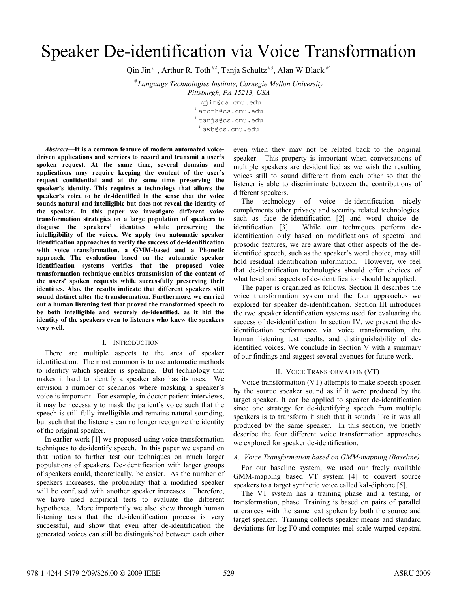# Speaker De-identification via Voice Transformation

Qin Jin<sup>#1</sup>, Arthur R. Toth<sup>#2</sup>, Tanja Schultz<sup>#3</sup>, Alan W Black<sup>#4</sup>

*# Language Technologies Institute, Carnegie Mellon University Pittsburgh, PA 15213, USA* <sup>'</sup>qjin@ca.cmu.edu

atoth@cs.cmu.edu

tanja@cs.cmu.edu

awb@cs.cmu.edu

*Abstract***—It is a common feature of modern automated voicedriven applications and services to record and transmit a user's spoken request. At the same time, several domains and applications may require keeping the content of the user's request confidential and at the same time preserving the speaker's identity. This requires a technology that allows the speaker's voice to be de-identified in the sense that the voice sounds natural and intelligible but does not reveal the identity of the speaker. In this paper we investigate different voice transformation strategies on a large population of speakers to disguise the speakers' identities while preserving the intelligibility of the voices. We apply two automatic speaker identification approaches to verify the success of de-identification with voice transformation, a GMM-based and a Phonetic approach. The evaluation based on the automatic speaker identification systems verifies that the proposed voice transformation technique enables transmission of the content of the users' spoken requests while successfully preserving their identities. Also, the results indicate that different speakers still sound distinct after the transformation. Furthermore, we carried out a human listening test that proved the transformed speech to be both intelligible and securely de-identified, as it hid the identity of the speakers even to listeners who knew the speakers very well.**

### I. INTRODUCTION

There are multiple aspects to the area of speaker identification. The most common is to use automatic methods to identify which speaker is speaking. But technology that makes it hard to identify a speaker also has its uses. We envision a number of scenarios where masking a speaker's voice is important. For example, in doctor-patient interviews, it may be necessary to mask the patient's voice such that the speech is still fully intelligible and remains natural sounding, but such that the listeners can no longer recognize the identity of the original speaker.

In earlier work [1] we proposed using voice transformation techniques to de-identify speech. In this paper we expand on that notion to further test our techniques on much larger populations of speakers. De-identification with larger groups of speakers could, theoretically, be easier. As the number of speakers increases, the probability that a modified speaker will be confused with another speaker increases. Therefore, we have used empirical tests to evaluate the different hypotheses. More importantly we also show through human listening tests that the de-identification process is very successful, and show that even after de-identification the generated voices can still be distinguished between each other

even when they may not be related back to the original speaker. This property is important when conversations of multiple speakers are de-identified as we wish the resulting voices still to sound different from each other so that the listener is able to discriminate between the contributions of different speakers.

The technology of voice de-identification nicely complements other privacy and security related technologies, such as face de-identification [2] and word choice deidentification [3]. While our techniques perform deidentification only based on modifications of spectral and prosodic features, we are aware that other aspects of the deidentified speech, such as the speaker's word choice, may still hold residual identification information. However, we feel that de-identification technologies should offer choices of what level and aspects of de-identification should be applied.

The paper is organized as follows. Section II describes the voice transformation system and the four approaches we explored for speaker de-identification. Section III introduces the two speaker identification systems used for evaluating the success of de-identification. In section IV, we present the deidentification performance via voice transformation, the human listening test results, and distinguishability of deidentified voices. We conclude in Section V with a summary of our findings and suggest several avenues for future work.

## II. VOICE TRANSFORMATION (VT)

Voice transformation (VT) attempts to make speech spoken by the source speaker sound as if it were produced by the target speaker. It can be applied to speaker de-identification since one strategy for de-identifying speech from multiple speakers is to transform it such that it sounds like it was all produced by the same speaker. In this section, we briefly describe the four different voice transformation approaches we explored for speaker de-identification.

## *A. Voice Transformation based on GMM-mapping (Baseline)*

For our baseline system, we used our freely available GMM-mapping based VT system [4] to convert source speakers to a target synthetic voice called kal-diphone [5].

The VT system has a training phase and a testing, or transformation, phase. Training is based on pairs of parallel utterances with the same text spoken by both the source and target speaker. Training collects speaker means and standard deviations for log F0 and computes mel-scale warped cepstral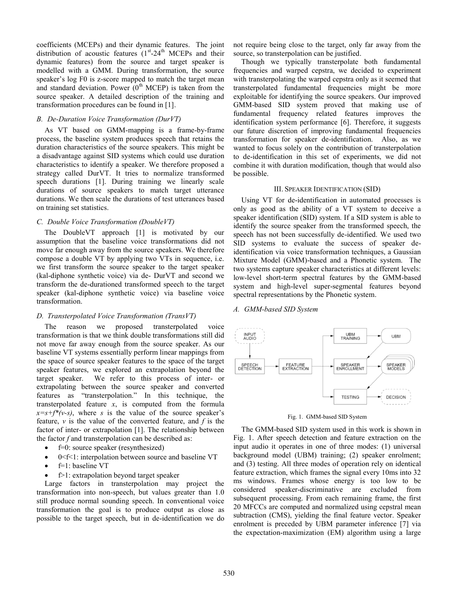coefficients (MCEPs) and their dynamic features. The joint distribution of acoustic features  $(1<sup>st</sup>-24<sup>th</sup> MCEPs)$  and their dynamic features) from the source and target speaker is modelled with a GMM. During transformation, the source speaker's log F0 is z-score mapped to match the target mean and standard deviation. Power  $(0<sup>th</sup> MCEP)$  is taken from the source speaker. A detailed description of the training and transformation procedures can be found in [1].

#### *B. De-Duration Voice Transformation (DurVT)*

As VT based on GMM-mapping is a frame-by-frame process, the baseline system produces speech that retains the duration characteristics of the source speakers. This might be a disadvantage against SID systems which could use duration characteristics to identify a speaker. We therefore proposed a strategy called DurVT. It tries to normalize transformed speech durations [1]. During training we linearly scale durations of source speakers to match target utterance durations. We then scale the durations of test utterances based on training set statistics.

## *C. Double Voice Transformation (DoubleVT)*

The DoubleVT approach [1] is motivated by our assumption that the baseline voice transformations did not move far enough away from the source speakers. We therefore compose a double VT by applying two VTs in sequence, i.e. we first transform the source speaker to the target speaker (kal-diphone synthetic voice) via de- DurVT and second we transform the de-durationed transformed speech to the target speaker (kal-diphone synthetic voice) via baseline voice transformation.

#### *D. Transterpolated Voice Transformation (TransVT)*

The reason we proposed transterpolated voice transformation is that we think double transformations still did not move far away enough from the source speaker. As our baseline VT systems essentially perform linear mappings from the space of source speaker features to the space of the target speaker features, we explored an extrapolation beyond the target speaker. We refer to this process of inter- or extrapolating between the source speaker and converted features as "transterpolation." In this technique, the transterpolated feature  $x$ , is computed from the formula  $x=s+f^*(v-s)$ , where *s* is the value of the source speaker's feature, *v* is the value of the converted feature, and *f* is the factor of inter- or extrapolation [1]. The relationship between the factor *f* and transterpolation can be described as:

- f=0: source speaker (resynthesized)
- 0<f<1: interpolation between source and baseline VT
- $\bullet$  f=1: baseline VT
- f>1: extrapolation beyond target speaker

Large factors in transterpolation may project the transformation into non-speech, but values greater than 1.0 still produce normal sounding speech. In conventional voice transformation the goal is to produce output as close as possible to the target speech, but in de-identification we do not require being close to the target, only far away from the source, so transterpolation can be justified.

Though we typically transterpolate both fundamental frequencies and warped cepstra, we decided to experiment with transterpolating the warped cepstra only as it seemed that transterpolated fundamental frequencies might be more exploitable for identifying the source speakers. Our improved GMM-based SID system proved that making use of fundamental frequency related features improves the identification system performance [6]. Therefore, it suggests our future discretion of improving fundamental frequencies transformation for speaker de-identification. Also, as we wanted to focus solely on the contribution of transterpolation to de-identification in this set of experiments, we did not combine it with duration modification, though that would also be possible.

### III. SPEAKER IDENTIFICATION (SID)

Using VT for de-identification in automated processes is only as good as the ability of a VT system to deceive a speaker identification (SID) system. If a SID system is able to identify the source speaker from the transformed speech, the speech has not been successfully de-identified. We used two SID systems to evaluate the success of speaker deidentification via voice transformation techniques, a Gaussian Mixture Model (GMM)-based and a Phonetic system. The two systems capture speaker characteristics at different levels: low-level short-term spectral features by the GMM-based system and high-level super-segmental features beyond spectral representations by the Phonetic system.

## *A. GMM-based SID System*



Fig. 1. GMM-based SID System

The GMM-based SID system used in this work is shown in Fig. 1. After speech detection and feature extraction on the input audio it operates in one of three modes: (1) universal background model (UBM) training; (2) speaker enrolment; and (3) testing. All three modes of operation rely on identical feature extraction, which frames the signal every 10ms into 32 ms windows. Frames whose energy is too low to be considered speaker-discriminative are excluded from subsequent processing. From each remaining frame, the first 20 MFCCs are computed and normalized using cepstral mean subtraction (CMS), yielding the final feature vector. Speaker enrolment is preceded by UBM parameter inference [7] via the expectation-maximization (EM) algorithm using a large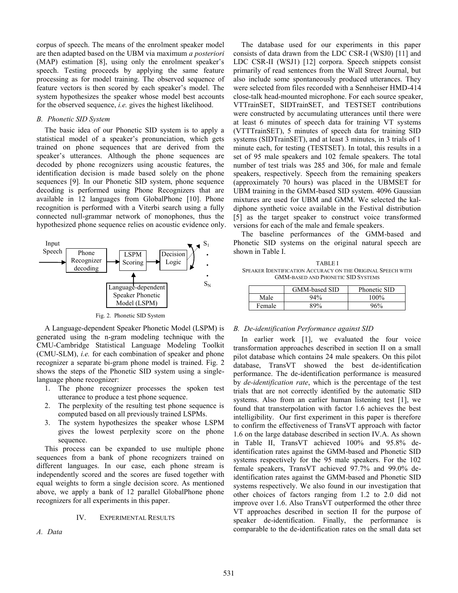corpus of speech. The means of the enrolment speaker model are then adapted based on the UBM via maximum *a posteriori* (MAP) estimation [8], using only the enrolment speaker's speech. Testing proceeds by applying the same feature processing as for model training. The observed sequence of feature vectors is then scored by each speaker's model. The system hypothesizes the speaker whose model best accounts for the observed sequence, *i.e.* gives the highest likelihood.

## *B. Phonetic SID System*

The basic idea of our Phonetic SID system is to apply a statistical model of a speaker's pronunciation, which gets trained on phone sequences that are derived from the speaker's utterances. Although the phone sequences are decoded by phone recognizers using acoustic features, the identification decision is made based solely on the phone sequences [9]. In our Phonetic SID system, phone sequence decoding is performed using Phone Recognizers that are available in 12 languages from GlobalPhone [10]. Phone recognition is performed with a Viterbi search using a fully connected null-grammar network of monophones, thus the hypothesized phone sequence relies on acoustic evidence only.



Fig. 2. Phonetic SID System

A Language-dependent Speaker Phonetic Model (LSPM) is generated using the n-gram modeling technique with the CMU-Cambridge Statistical Language Modeling Toolkit (CMU-SLM), *i.e.* for each combination of speaker and phone recognizer a separate bi-gram phone model is trained. Fig. 2 shows the steps of the Phonetic SID system using a singlelanguage phone recognizer:

- 1. The phone recognizer processes the spoken test utterance to produce a test phone sequence.
- 2. The perplexity of the resulting test phone sequence is computed based on all previously trained LSPMs.
- 3. The system hypothesizes the speaker whose LSPM gives the lowest perplexity score on the phone sequence.

This process can be expanded to use multiple phone sequences from a bank of phone recognizers trained on different languages. In our case, each phone stream is independently scored and the scores are fused together with equal weights to form a single decision score. As mentioned above, we apply a bank of 12 parallel GlobalPhone phone recognizers for all experiments in this paper.

#### IV. EXPERIMENTAL RESULTS

*A. Data*

The database used for our experiments in this paper consists of data drawn from the LDC CSR-I (WSJ0) [11] and LDC CSR-II (WSJ1) [12] corpora. Speech snippets consist primarily of read sentences from the Wall Street Journal, but also include some spontaneously produced utterances. They were selected from files recorded with a Sennheiser HMD-414 close-talk head-mounted microphone. For each source speaker, VTTrainSET, SIDTrainSET, and TESTSET contributions were constructed by accumulating utterances until there were at least 6 minutes of speech data for training VT systems (VTTTrainSET), 5 minutes of speech data for training SID systems (SIDTrainSET), and at least 3 minutes, in 3 trials of 1 minute each, for testing (TESTSET). In total, this results in a set of 95 male speakers and 102 female speakers. The total number of test trials was 285 and 306, for male and female speakers, respectively. Speech from the remaining speakers (approximately 70 hours) was placed in the UBMSET for UBM training in the GMM-based SID system. 4096 Gaussian mixtures are used for UBM and GMM. We selected the kaldiphone synthetic voice available in the Festival distribution [5] as the target speaker to construct voice transformed versions for each of the male and female speakers.

The baseline performances of the GMM-based and Phonetic SID systems on the original natural speech are shown in Table I.

TABLE I SPEAKER IDENTIFICATION ACCURACY ON THE ORIGINAL SPEECH WITH GMM-BASED AND PHONETIC SID SYSTEMS

|        | GMM-based SID | Phonetic SID |
|--------|---------------|--------------|
| Male   | 94%           | 100%         |
| Female | 89%           | 96%          |

#### *B. De-identification Performance against SID*

In earlier work [1], we evaluated the four voice transformation approaches described in section II on a small pilot database which contains 24 male speakers. On this pilot database, TransVT showed the best de-identification performance. The de-identification performance is measured by *de-identification rate*, which is the percentage of the test trials that are not correctly identified by the automatic SID systems. Also from an earlier human listening test [1], we found that transterpolation with factor 1.6 achieves the best intelligibility. Our first experiment in this paper is therefore to confirm the effectiveness of TransVT approach with factor 1.6 on the large database described in section IV.A. As shown in Table II, TransVT achieved 100% and 95.8% deidentification rates against the GMM-based and Phonetic SID systems respectively for the 95 male speakers. For the 102 female speakers, TransVT achieved 97.7% and 99.0% deidentification rates against the GMM-based and Phonetic SID systems respectively. We also found in our investigation that other choices of factors ranging from 1.2 to 2.0 did not improve over 1.6. Also TransVT outperformed the other three VT approaches described in section II for the purpose of speaker de-identification. Finally, the performance is comparable to the de-identification rates on the small data set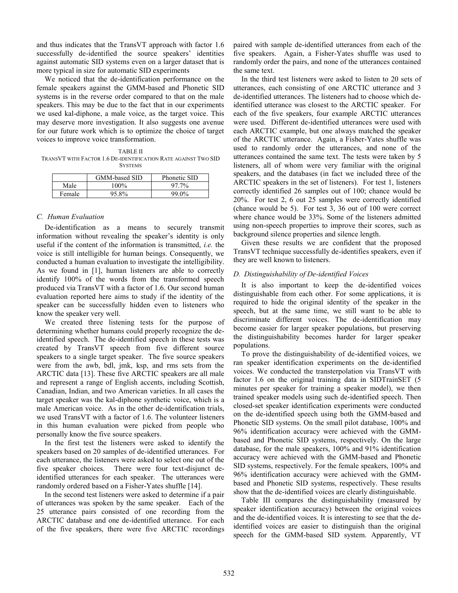and thus indicates that the TransVT approach with factor 1.6 successfully de-identified the source speakers' identities against automatic SID systems even on a larger dataset that is more typical in size for automatic SID experiments

We noticed that the de-identification performance on the female speakers against the GMM-based and Phonetic SID systems is in the reverse order compared to that on the male speakers. This may be due to the fact that in our experiments we used kal-diphone, a male voice, as the target voice. This may deserve more investigation. It also suggests one avenue for our future work which is to optimize the choice of target voices to improve voice transformation.

TABLE II TRANSVT WITH FACTOR 1.6 DE-IDENTIFICATION RATE AGAINST TWO SID **SYSTEMS** 

|        | GMM-based SID | Phonetic SID |
|--------|---------------|--------------|
| Male   | $100\%$       | 97.7%        |
| Female | 95.8%         | 99.0%        |

## *C. Human Evaluation*

De-identification as a means to securely transmit information without revealing the speaker's identity is only useful if the content of the information is transmitted, *i.e.* the voice is still intelligible for human beings. Consequently, we conducted a human evaluation to investigate the intelligibility. As we found in [1], human listeners are able to correctly identify 100% of the words from the transformed speech produced via TransVT with a factor of 1.6. Our second human evaluation reported here aims to study if the identity of the speaker can be successfully hidden even to listeners who know the speaker very well.

We created three listening tests for the purpose of determining whether humans could properly recognize the deidentified speech. The de-identified speech in these tests was created by TransVT speech from five different source speakers to a single target speaker. The five source speakers were from the awb, bdl, jmk, ksp, and rms sets from the ARCTIC data [13]. These five ARCTIC speakers are all male and represent a range of English accents, including Scottish, Canadian, Indian, and two American varieties. In all cases the target speaker was the kal-diphone synthetic voice, which is a male American voice. As in the other de-identification trials, we used TransVT with a factor of 1.6. The volunteer listeners in this human evaluation were picked from people who personally know the five source speakers.

In the first test the listeners were asked to identify the speakers based on 20 samples of de-identified utterances. For each utterance, the listeners were asked to select one out of the five speaker choices. There were four text-disjunct deidentified utterances for each speaker. The utterances were randomly ordered based on a Fisher-Yates shuffle [14].

In the second test listeners were asked to determine if a pair of utterances was spoken by the same speaker. Each of the 25 utterance pairs consisted of one recording from the ARCTIC database and one de-identified utterance. For each of the five speakers, there were five ARCTIC recordings

paired with sample de-identified utterances from each of the five speakers. Again, a Fisher-Yates shuffle was used to randomly order the pairs, and none of the utterances contained the same text.

In the third test listeners were asked to listen to 20 sets of utterances, each consisting of one ARCTIC utterance and 3 de-identified utterances. The listeners had to choose which deidentified utterance was closest to the ARCTIC speaker. For each of the five speakers, four example ARCTIC utterances were used. Different de-identified utterances were used with each ARCTIC example, but one always matched the speaker of the ARCTIC utterance. Again, a Fisher-Yates shuffle was used to randomly order the utterances, and none of the utterances contained the same text. The tests were taken by 5 listeners, all of whom were very familiar with the original speakers, and the databases (in fact we included three of the ARCTIC speakers in the set of listeners). For test 1, listeners correctly identified 26 samples out of 100; chance would be 20%. For test 2, 6 out 25 samples were correctly identified (chance would be 5). For test 3, 36 out of 100 were correct where chance would be 33%. Some of the listeners admitted using non-speech properties to improve their scores, such as background silence properties and silence length.

Given these results we are confident that the proposed TransVT technique successfully de-identifies speakers, even if they are well known to listeners.

## *D. Distinguishability of De-identified Voices*

It is also important to keep the de-identified voices distinguishable from each other. For some applications, it is required to hide the original identity of the speaker in the speech, but at the same time, we still want to be able to discriminate different voices. The de-identification may become easier for larger speaker populations, but preserving the distinguishability becomes harder for larger speaker populations.

To prove the distinguishability of de-identified voices, we ran speaker identification experiments on the de-identified voices. We conducted the transterpolation via TransVT with factor 1.6 on the original training data in SIDTrainSET (5 minutes per speaker for training a speaker model), we then trained speaker models using such de-identified speech. Then closed-set speaker identification experiments were conducted on the de-identified speech using both the GMM-based and Phonetic SID systems. On the small pilot database, 100% and 96% identification accuracy were achieved with the GMMbased and Phonetic SID systems, respectively. On the large database, for the male speakers, 100% and 91% identification accuracy were achieved with the GMM-based and Phonetic SID systems, respectively. For the female speakers, 100% and 96% identification accuracy were achieved with the GMMbased and Phonetic SID systems, respectively. These results show that the de-identified voices are clearly distinguishable.

Table III compares the distinguishability (measured by speaker identification accuracy) between the original voices and the de-identified voices. It is interesting to see that the deidentified voices are easier to distinguish than the original speech for the GMM-based SID system. Apparently, VT